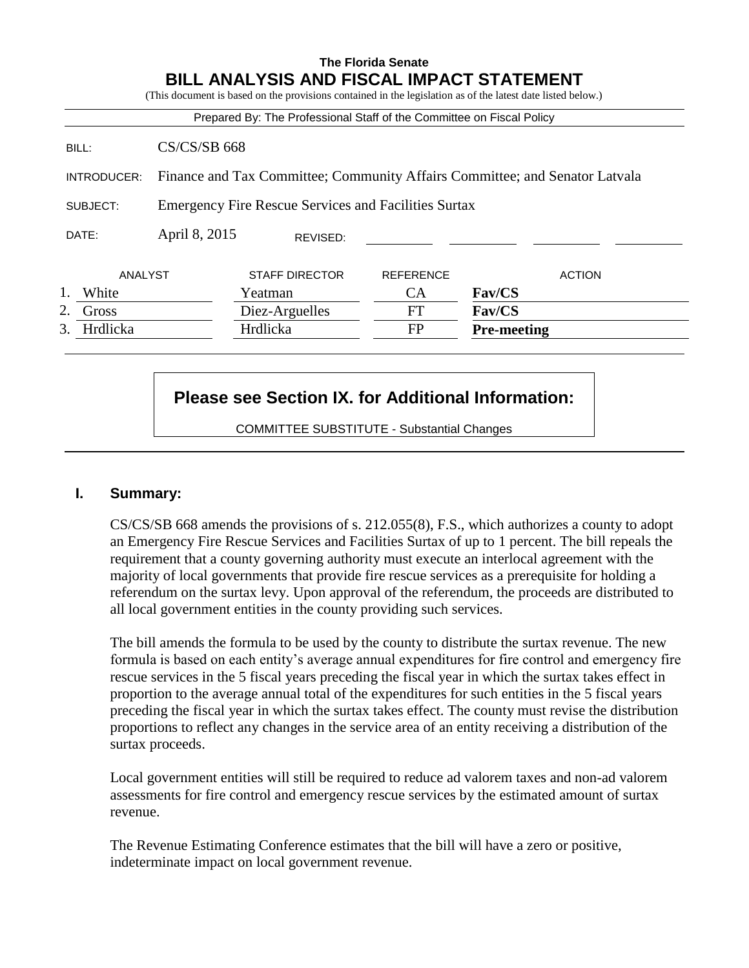# **The Florida Senate BILL ANALYSIS AND FISCAL IMPACT STATEMENT**

(This document is based on the provisions contained in the legislation as of the latest date listed below.) Prepared By: The Professional Staff of the Committee on Fiscal Policy BILL: CS/CS/SB 668 INTRODUCER: Finance and Tax Committee; Community Affairs Committee; and Senator Latvala SUBJECT: Emergency Fire Rescue Services and Facilities Surtax DATE: April 8, 2015 ANALYST STAFF DIRECTOR REFERENCE ACTION 1. White Yeatman CA **Fav/CS** 2. Gross Diez-Arguelles FT **Fav/CS** 3. Hrdlicka Hrdlicka FP **Pre-meeting** REVISED:

# **Please see Section IX. for Additional Information:**

COMMITTEE SUBSTITUTE - Substantial Changes

# **I. Summary:**

CS/CS/SB 668 amends the provisions of s. 212.055(8), F.S., which authorizes a county to adopt an Emergency Fire Rescue Services and Facilities Surtax of up to 1 percent. The bill repeals the requirement that a county governing authority must execute an interlocal agreement with the majority of local governments that provide fire rescue services as a prerequisite for holding a referendum on the surtax levy. Upon approval of the referendum, the proceeds are distributed to all local government entities in the county providing such services.

The bill amends the formula to be used by the county to distribute the surtax revenue. The new formula is based on each entity's average annual expenditures for fire control and emergency fire rescue services in the 5 fiscal years preceding the fiscal year in which the surtax takes effect in proportion to the average annual total of the expenditures for such entities in the 5 fiscal years preceding the fiscal year in which the surtax takes effect. The county must revise the distribution proportions to reflect any changes in the service area of an entity receiving a distribution of the surtax proceeds.

Local government entities will still be required to reduce ad valorem taxes and non-ad valorem assessments for fire control and emergency rescue services by the estimated amount of surtax revenue.

The Revenue Estimating Conference estimates that the bill will have a zero or positive, indeterminate impact on local government revenue.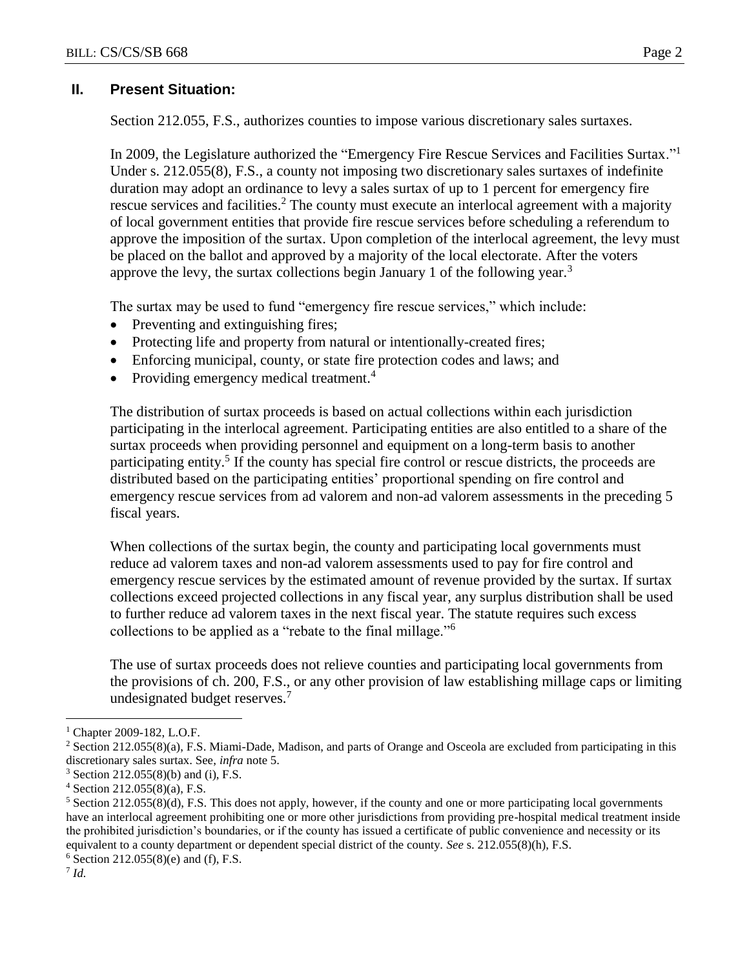# **II. Present Situation:**

Section 212.055, F.S., authorizes counties to impose various discretionary sales surtaxes.

In 2009, the Legislature authorized the "Emergency Fire Rescue Services and Facilities Surtax."<sup>1</sup> Under s. 212.055(8), F.S., a county not imposing two discretionary sales surtaxes of indefinite duration may adopt an ordinance to levy a sales surtax of up to 1 percent for emergency fire rescue services and facilities.<sup>2</sup> The county must execute an interlocal agreement with a majority of local government entities that provide fire rescue services before scheduling a referendum to approve the imposition of the surtax. Upon completion of the interlocal agreement, the levy must be placed on the ballot and approved by a majority of the local electorate. After the voters approve the levy, the surtax collections begin January 1 of the following year.<sup>3</sup>

The surtax may be used to fund "emergency fire rescue services," which include:

- Preventing and extinguishing fires;
- Protecting life and property from natural or intentionally-created fires;
- Enforcing municipal, county, or state fire protection codes and laws; and
- Providing emergency medical treatment.<sup>4</sup>

The distribution of surtax proceeds is based on actual collections within each jurisdiction participating in the interlocal agreement. Participating entities are also entitled to a share of the surtax proceeds when providing personnel and equipment on a long-term basis to another participating entity.<sup>5</sup> If the county has special fire control or rescue districts, the proceeds are distributed based on the participating entities' proportional spending on fire control and emergency rescue services from ad valorem and non-ad valorem assessments in the preceding 5 fiscal years.

When collections of the surtax begin, the county and participating local governments must reduce ad valorem taxes and non-ad valorem assessments used to pay for fire control and emergency rescue services by the estimated amount of revenue provided by the surtax. If surtax collections exceed projected collections in any fiscal year, any surplus distribution shall be used to further reduce ad valorem taxes in the next fiscal year. The statute requires such excess collections to be applied as a "rebate to the final millage."<sup>6</sup>

The use of surtax proceeds does not relieve counties and participating local governments from the provisions of ch. 200, F.S., or any other provision of law establishing millage caps or limiting undesignated budget reserves.<sup>7</sup>

7 *Id.*

 $\overline{a}$ 

<sup>&</sup>lt;sup>1</sup> Chapter 2009-182, L.O.F.

<sup>&</sup>lt;sup>2</sup> Section 212.055(8)(a), F.S. Miami-Dade, Madison, and parts of Orange and Osceola are excluded from participating in this discretionary sales surtax. See, *infra* note 5.

 $3$  Section 212.055(8)(b) and (i), F.S.

 $4$  Section 212.055(8)(a), F.S.

 $5$  Section 212.055(8)(d), F.S. This does not apply, however, if the county and one or more participating local governments have an interlocal agreement prohibiting one or more other jurisdictions from providing pre-hospital medical treatment inside the prohibited jurisdiction's boundaries, or if the county has issued a certificate of public convenience and necessity or its equivalent to a county department or dependent special district of the county. *See* s. 212.055(8)(h), F.S.

 $6$  Section 212.055(8)(e) and (f), F.S.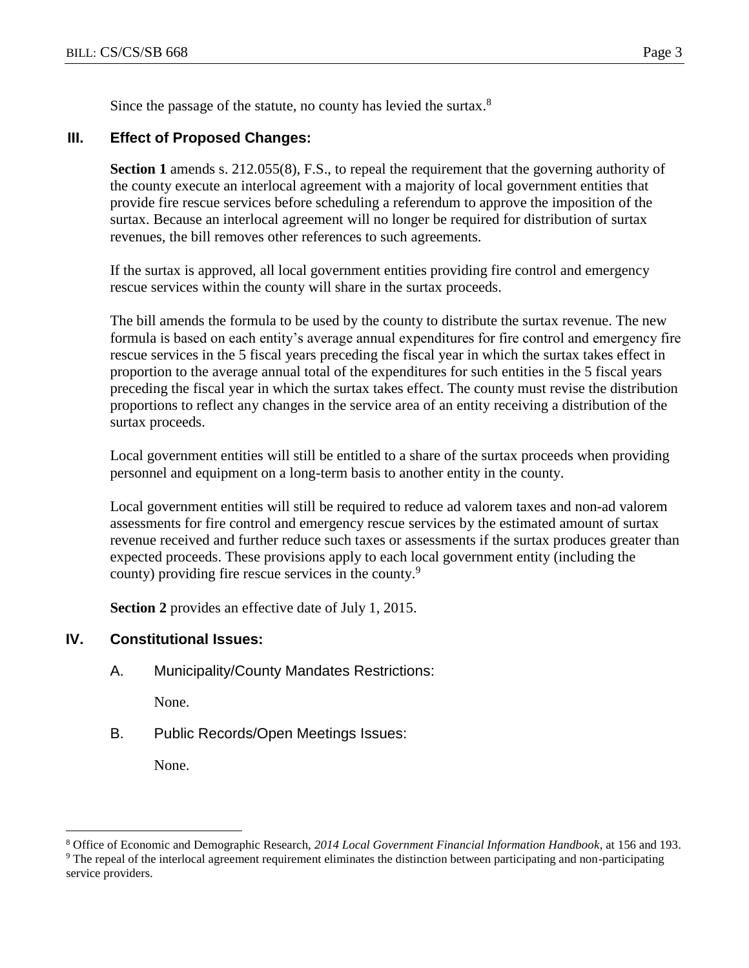Since the passage of the statute, no county has levied the surtax.<sup>8</sup>

#### **III. Effect of Proposed Changes:**

**Section 1** amends s. 212.055(8), F.S., to repeal the requirement that the governing authority of the county execute an interlocal agreement with a majority of local government entities that provide fire rescue services before scheduling a referendum to approve the imposition of the surtax. Because an interlocal agreement will no longer be required for distribution of surtax revenues, the bill removes other references to such agreements.

If the surtax is approved, all local government entities providing fire control and emergency rescue services within the county will share in the surtax proceeds.

The bill amends the formula to be used by the county to distribute the surtax revenue. The new formula is based on each entity's average annual expenditures for fire control and emergency fire rescue services in the 5 fiscal years preceding the fiscal year in which the surtax takes effect in proportion to the average annual total of the expenditures for such entities in the 5 fiscal years preceding the fiscal year in which the surtax takes effect. The county must revise the distribution proportions to reflect any changes in the service area of an entity receiving a distribution of the surtax proceeds.

Local government entities will still be entitled to a share of the surtax proceeds when providing personnel and equipment on a long-term basis to another entity in the county.

Local government entities will still be required to reduce ad valorem taxes and non-ad valorem assessments for fire control and emergency rescue services by the estimated amount of surtax revenue received and further reduce such taxes or assessments if the surtax produces greater than expected proceeds. These provisions apply to each local government entity (including the county) providing fire rescue services in the county.<sup>9</sup>

**Section 2** provides an effective date of July 1, 2015.

# **IV. Constitutional Issues:**

A. Municipality/County Mandates Restrictions:

None.

B. Public Records/Open Meetings Issues:

None.

 $\overline{a}$ 

<sup>8</sup> Office of Economic and Demographic Research, *2014 Local Government Financial Information Handbook,* at 156 and 193.

<sup>9</sup> The repeal of the interlocal agreement requirement eliminates the distinction between participating and non-participating service providers.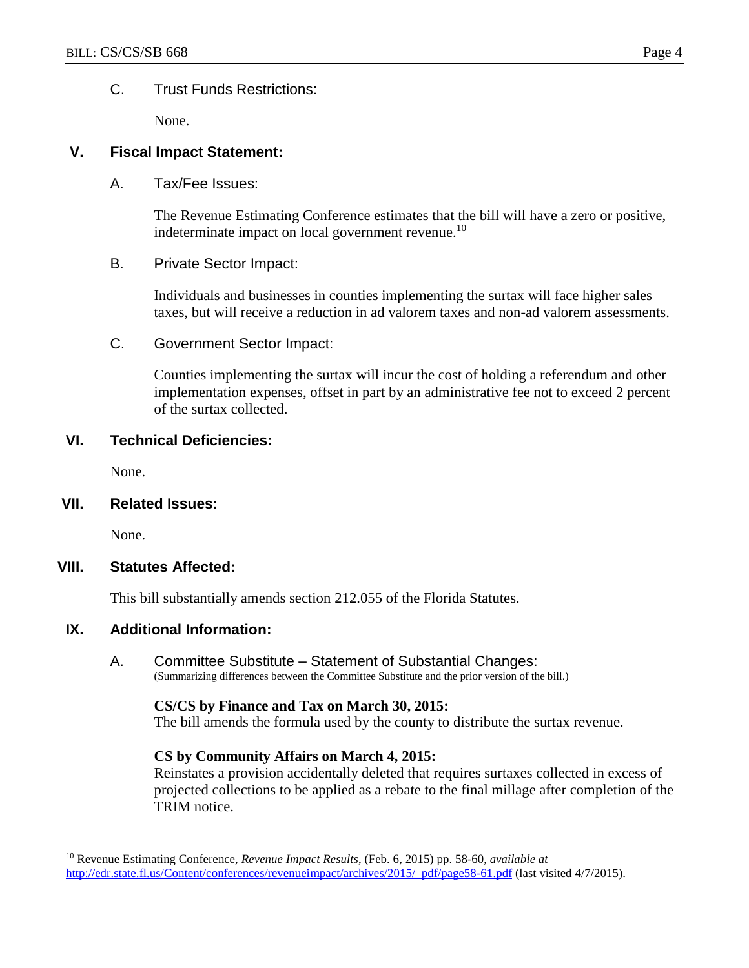### C. Trust Funds Restrictions:

None.

# **V. Fiscal Impact Statement:**

A. Tax/Fee Issues:

The Revenue Estimating Conference estimates that the bill will have a zero or positive, indeterminate impact on local government revenue.<sup>10</sup>

B. Private Sector Impact:

Individuals and businesses in counties implementing the surtax will face higher sales taxes, but will receive a reduction in ad valorem taxes and non-ad valorem assessments.

C. Government Sector Impact:

Counties implementing the surtax will incur the cost of holding a referendum and other implementation expenses, offset in part by an administrative fee not to exceed 2 percent of the surtax collected.

#### **VI. Technical Deficiencies:**

None.

**VII. Related Issues:**

None.

 $\overline{a}$ 

#### **VIII. Statutes Affected:**

This bill substantially amends section 212.055 of the Florida Statutes.

#### **IX. Additional Information:**

A. Committee Substitute – Statement of Substantial Changes: (Summarizing differences between the Committee Substitute and the prior version of the bill.)

#### **CS/CS by Finance and Tax on March 30, 2015:**

The bill amends the formula used by the county to distribute the surtax revenue.

#### **CS by Community Affairs on March 4, 2015:**

Reinstates a provision accidentally deleted that requires surtaxes collected in excess of projected collections to be applied as a rebate to the final millage after completion of the TRIM notice.

<sup>10</sup> Revenue Estimating Conference, *Revenue Impact Results*, (Feb. 6, 2015) pp. 58-60, *available at* http://edr.state.fl.us/Content/conferences/revenueimpact/archives/2015/ pdf/page58-61.pdf (last visited 4/7/2015).